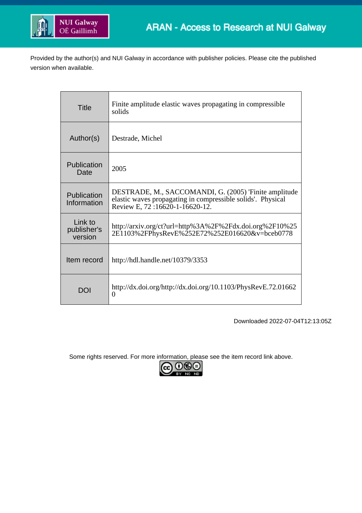

Provided by the author(s) and NUI Galway in accordance with publisher policies. Please cite the published version when available.

| <b>Title</b>                      | Finite amplitude elastic waves propagating in compressible<br>solids                                                                                   |
|-----------------------------------|--------------------------------------------------------------------------------------------------------------------------------------------------------|
| Author(s)                         | Destrade, Michel                                                                                                                                       |
| Publication<br>Date               | 2005                                                                                                                                                   |
| Publication<br>Information        | DESTRADE, M., SACCOMANDI, G. (2005) 'Finite amplitude<br>elastic waves propagating in compressible solids'. Physical<br>Review E, 72:16620-1-16620-12. |
| Link to<br>publisher's<br>version | http://arxiv.org/ct?url=http%3A%2F%2Fdx.doi.org%2F10%25<br>2E1103%2FPhysRevE%252E72%252E016620&v=bceb0778                                              |
| Item record                       | http://hdl.handle.net/10379/3353                                                                                                                       |
| DOI                               | http://dx.doi.org/http://dx.doi.org/10.1103/PhysRevE.72.01662<br>0                                                                                     |

Downloaded 2022-07-04T12:13:05Z

Some rights reserved. For more information, please see the item record link above.

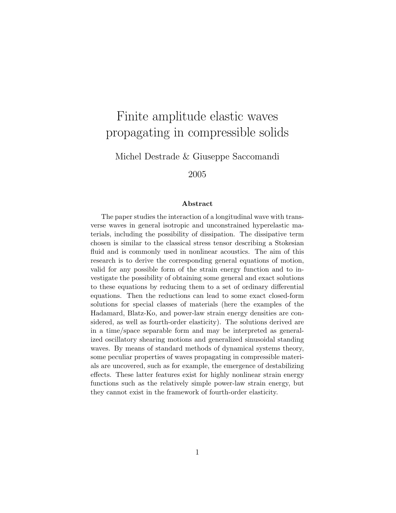# Finite amplitude elastic waves propagating in compressible solids

Michel Destrade & Giuseppe Saccomandi

2005

#### Abstract

The paper studies the interaction of a longitudinal wave with transverse waves in general isotropic and unconstrained hyperelastic materials, including the possibility of dissipation. The dissipative term chosen is similar to the classical stress tensor describing a Stokesian fluid and is commonly used in nonlinear acoustics. The aim of this research is to derive the corresponding general equations of motion, valid for any possible form of the strain energy function and to investigate the possibility of obtaining some general and exact solutions to these equations by reducing them to a set of ordinary differential equations. Then the reductions can lead to some exact closed-form solutions for special classes of materials (here the examples of the Hadamard, Blatz-Ko, and power-law strain energy densities are considered, as well as fourth-order elasticity). The solutions derived are in a time/space separable form and may be interpreted as generalized oscillatory shearing motions and generalized sinusoidal standing waves. By means of standard methods of dynamical systems theory, some peculiar properties of waves propagating in compressible materials are uncovered, such as for example, the emergence of destabilizing effects. These latter features exist for highly nonlinear strain energy functions such as the relatively simple power-law strain energy, but they cannot exist in the framework of fourth-order elasticity.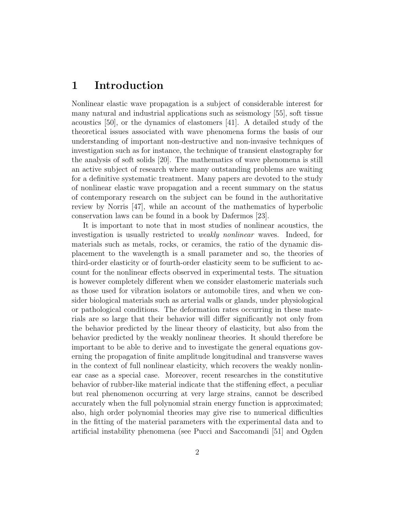### 1 Introduction

Nonlinear elastic wave propagation is a subject of considerable interest for many natural and industrial applications such as seismology [55], soft tissue acoustics [50], or the dynamics of elastomers [41]. A detailed study of the theoretical issues associated with wave phenomena forms the basis of our understanding of important non-destructive and non-invasive techniques of investigation such as for instance, the technique of transient elastography for the analysis of soft solids [20]. The mathematics of wave phenomena is still an active subject of research where many outstanding problems are waiting for a definitive systematic treatment. Many papers are devoted to the study of nonlinear elastic wave propagation and a recent summary on the status of contemporary research on the subject can be found in the authoritative review by Norris [47], while an account of the mathematics of hyperbolic conservation laws can be found in a book by Dafermos [23].

It is important to note that in most studies of nonlinear acoustics, the investigation is usually restricted to weakly nonlinear waves. Indeed, for materials such as metals, rocks, or ceramics, the ratio of the dynamic displacement to the wavelength is a small parameter and so, the theories of third-order elasticity or of fourth-order elasticity seem to be sufficient to account for the nonlinear effects observed in experimental tests. The situation is however completely different when we consider elastomeric materials such as those used for vibration isolators or automobile tires, and when we consider biological materials such as arterial walls or glands, under physiological or pathological conditions. The deformation rates occurring in these materials are so large that their behavior will differ significantly not only from the behavior predicted by the linear theory of elasticity, but also from the behavior predicted by the weakly nonlinear theories. It should therefore be important to be able to derive and to investigate the general equations governing the propagation of finite amplitude longitudinal and transverse waves in the context of full nonlinear elasticity, which recovers the weakly nonlinear case as a special case. Moreover, recent researches in the constitutive behavior of rubber-like material indicate that the stiffening effect, a peculiar but real phenomenon occurring at very large strains, cannot be described accurately when the full polynomial strain energy function is approximated; also, high order polynomial theories may give rise to numerical difficulties in the fitting of the material parameters with the experimental data and to artificial instability phenomena (see Pucci and Saccomandi [51] and Ogden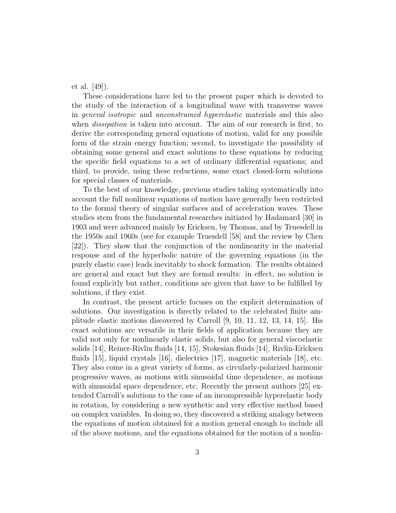et al. [49]).

These considerations have led to the present paper which is devoted to the study of the interaction of a longitudinal wave with transverse waves in general isotropic and unconstrained hyperelastic materials and this also when *dissipation* is taken into account. The aim of our research is first, to derive the corresponding general equations of motion, valid for any possible form of the strain energy function; second, to investigate the possibility of obtaining some general and exact solutions to these equations by reducing the specific field equations to a set of ordinary differential equations; and third, to provide, using these reductions, some exact closed-form solutions for special classes of materials.

To the best of our knowledge, previous studies taking systematically into account the full nonlinear equations of motion have generally been restricted to the formal theory of singular surfaces and of acceleration waves. These studies stem from the fundamental researches initiated by Hadamard [30] in 1903 and were advanced mainly by Ericksen, by Thomas, and by Truesdell in the 1950s and 1960s (see for example Truesdell [58] and the review by Chen [22]). They show that the conjunction of the nonlinearity in the material response and of the hyperbolic nature of the governing equations (in the purely elastic case) leads inevitably to shock formation. The results obtained are general and exact but they are formal results: in effect, no solution is found explicitly but rather, conditions are given that have to be fulfilled by solutions, if they exist.

In contrast, the present article focuses on the explicit determination of solutions. Our investigation is directly related to the celebrated finite amplitude elastic motions discovered by Carroll [9, 10, 11, 12, 13, 14, 15]. His exact solutions are versatile in their fields of application because they are valid not only for nonlinearly elastic solids, but also for general viscoelastic solids [14], Reiner-Rivlin fluids [14, 15], Stokesian fluids [14], Rivlin-Ericksen fluids [15], liquid crystals [16], dielectrics [17], magnetic materials [18], etc. They also come in a great variety of forms, as circularly-polarized harmonic progressive waves, as motions with sinusoidal time dependence, as motions with sinusoidal space dependence, etc. Recently the present authors [25] extended Carroll's solutions to the case of an incompressible hyperelastic body in rotation, by considering a new synthetic and very effective method based on complex variables. In doing so, they discovered a striking analogy between the equations of motion obtained for a motion general enough to include all of the above motions, and the equations obtained for the motion of a nonlin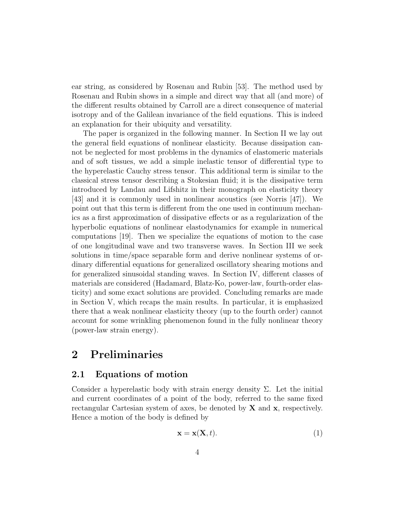ear string, as considered by Rosenau and Rubin [53]. The method used by Rosenau and Rubin shows in a simple and direct way that all (and more) of the different results obtained by Carroll are a direct consequence of material isotropy and of the Galilean invariance of the field equations. This is indeed an explanation for their ubiquity and versatility.

The paper is organized in the following manner. In Section II we lay out the general field equations of nonlinear elasticity. Because dissipation cannot be neglected for most problems in the dynamics of elastomeric materials and of soft tissues, we add a simple inelastic tensor of differential type to the hyperelastic Cauchy stress tensor. This additional term is similar to the classical stress tensor describing a Stokesian fluid; it is the dissipative term introduced by Landau and Lifshitz in their monograph on elasticity theory [43] and it is commonly used in nonlinear acoustics (see Norris [47]). We point out that this term is different from the one used in continuum mechanics as a first approximation of dissipative effects or as a regularization of the hyperbolic equations of nonlinear elastodynamics for example in numerical computations [19]. Then we specialize the equations of motion to the case of one longitudinal wave and two transverse waves. In Section III we seek solutions in time/space separable form and derive nonlinear systems of ordinary differential equations for generalized oscillatory shearing motions and for generalized sinusoidal standing waves. In Section IV, different classes of materials are considered (Hadamard, Blatz-Ko, power-law, fourth-order elasticity) and some exact solutions are provided. Concluding remarks are made in Section V, which recaps the main results. In particular, it is emphasized there that a weak nonlinear elasticity theory (up to the fourth order) cannot account for some wrinkling phenomenon found in the fully nonlinear theory (power-law strain energy).

# 2 Preliminaries

### 2.1 Equations of motion

Consider a hyperelastic body with strain energy density  $\Sigma$ . Let the initial and current coordinates of a point of the body, referred to the same fixed rectangular Cartesian system of axes, be denoted by  $X$  and  $x$ , respectively. Hence a motion of the body is defined by

$$
\mathbf{x} = \mathbf{x}(\mathbf{X}, t). \tag{1}
$$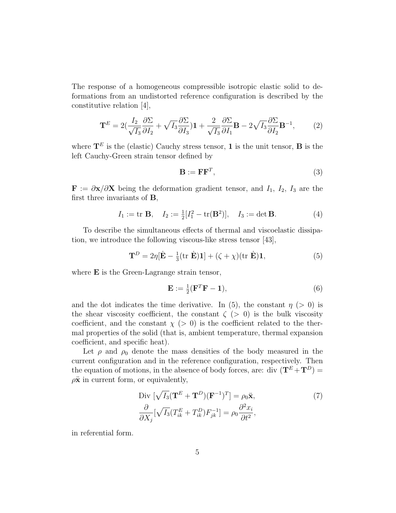The response of a homogeneous compressible isotropic elastic solid to deformations from an undistorted reference configuration is described by the constitutive relation [4],

$$
\mathbf{T}^{E} = 2\left(\frac{I_{2}}{\sqrt{I_{3}}}\frac{\partial \Sigma}{\partial I_{2}} + \sqrt{I_{3}}\frac{\partial \Sigma}{\partial I_{3}}\right)\mathbf{1} + \frac{2}{\sqrt{I_{3}}}\frac{\partial \Sigma}{\partial I_{1}}\mathbf{B} - 2\sqrt{I_{3}}\frac{\partial \Sigma}{\partial I_{2}}\mathbf{B}^{-1},\tag{2}
$$

where  $\mathbf{T}^E$  is the (elastic) Cauchy stress tensor, **1** is the unit tensor, **B** is the left Cauchy-Green strain tensor defined by

$$
\mathbf{B} := \mathbf{F}\mathbf{F}^T,\tag{3}
$$

 $\mathbf{F} := \partial \mathbf{x}/\partial \mathbf{X}$  being the deformation gradient tensor, and  $I_1$ ,  $I_2$ ,  $I_3$  are the first three invariants of B,

$$
I_1 := \text{tr } \mathbf{B}, \quad I_2 := \frac{1}{2} [I_1^2 - \text{tr}(\mathbf{B}^2)], \quad I_3 := \det \mathbf{B}.
$$
 (4)

To describe the simultaneous effects of thermal and viscoelastic dissipation, we introduce the following viscous-like stress tensor [43],

$$
\mathbf{T}^{D} = 2\eta [\dot{\mathbf{E}} - \frac{1}{3} (\text{tr } \dot{\mathbf{E}}) \mathbf{1}] + (\zeta + \chi)(\text{tr } \dot{\mathbf{E}}) \mathbf{1},
$$
\n(5)

where **E** is the Green-Lagrange strain tensor,

$$
\mathbf{E} := \frac{1}{2} (\mathbf{F}^T \mathbf{F} - \mathbf{1}),\tag{6}
$$

and the dot indicates the time derivative. In (5), the constant  $\eta$  (> 0) is the shear viscosity coefficient, the constant  $\zeta$  ( $> 0$ ) is the bulk viscosity coefficient, and the constant  $\chi$  (> 0) is the coefficient related to the thermal properties of the solid (that is, ambient temperature, thermal expansion coefficient, and specific heat).

Let  $\rho$  and  $\rho_0$  denote the mass densities of the body measured in the current configuration and in the reference configuration, respectively. Then the equation of motions, in the absence of body forces, are: div  $(\mathbf{T}^E + \mathbf{T}^D)$  =  $\rho \ddot{\mathbf{x}}$  in current form, or equivalently,

$$
\text{Div}\left[\sqrt{I_3}(\mathbf{T}^E + \mathbf{T}^D)(\mathbf{F}^{-1})^T\right] = \rho_0 \ddot{\mathbf{x}},
$$
\n
$$
\frac{\partial}{\partial X_j}[\sqrt{I_3}(T_{ik}^E + T_{ik}^D)F_{jk}^{-1}] = \rho_0 \frac{\partial^2 x_i}{\partial t^2},
$$
\n(7)

in referential form.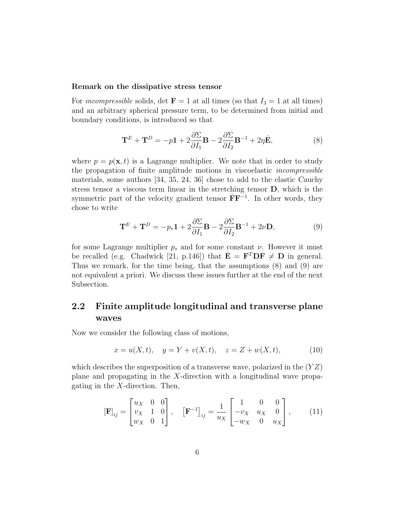#### Remark on the dissipative stress tensor

For incompressible solids, det  $\mathbf{F} = 1$  at all times (so that  $I_3 = 1$  at all times) and an arbitrary spherical pressure term, to be determined from initial and boundary conditions, is introduced so that

$$
\mathbf{T}^{E} + \mathbf{T}^{D} = -p\mathbf{1} + 2\frac{\partial \Sigma}{\partial I_1} \mathbf{B} - 2\frac{\partial \Sigma}{\partial I_2} \mathbf{B}^{-1} + 2\eta \dot{\mathbf{E}},
$$
\n(8)

where  $p = p(\mathbf{x}, t)$  is a Lagrange multiplier. We note that in order to study the propagation of finite amplitude motions in viscoelastic incompressible materials, some authors [34, 35, 24, 36] chose to add to the elastic Cauchy stress tensor a viscous term linear in the stretching tensor D, which is the symmetric part of the velocity gradient tensor  $\dot{F}F^{-1}$ . In other words, they chose to write

$$
\mathbf{T}^{E} + \mathbf{T}^{D} = -p_{*}\mathbf{1} + 2\frac{\partial \Sigma}{\partial I_{1}}\mathbf{B} - 2\frac{\partial \Sigma}{\partial I_{2}}\mathbf{B}^{-1} + 2\nu \mathbf{D},
$$
\n(9)

for some Lagrange multiplier  $p_*$  and for some constant  $\nu$ . However it must be recalled (e.g. Chadwick [21, p.146]) that  $\dot{\mathbf{E}} = \mathbf{F}^T \mathbf{D} \mathbf{F} \neq \mathbf{D}$  in general. Thus we remark, for the time being, that the assumptions (8) and (9) are not equivalent a priori. We discuss these issues further at the end of the next Subsection.

### 2.2 Finite amplitude longitudinal and transverse plane waves

Now we consider the following class of motions,

$$
x = u(X, t), \quad y = Y + v(X, t), \quad z = Z + w(X, t), \tag{10}
$$

which describes the superposition of a transverse wave, polarized in the  $(YZ)$ plane and propagating in the X-direction with a longitudinal wave propagating in the  $X$ -direction. Then,

$$
\begin{bmatrix} \mathbf{F} \end{bmatrix}_{ij} = \begin{bmatrix} u_X & 0 & 0 \\ v_X & 1 & 0 \\ w_X & 0 & 1 \end{bmatrix}, \quad \begin{bmatrix} \mathbf{F}^{-1} \end{bmatrix}_{ij} = \frac{1}{u_X} \begin{bmatrix} 1 & 0 & 0 \\ -v_X & u_X & 0 \\ -w_X & 0 & u_X \end{bmatrix}, \quad (11)
$$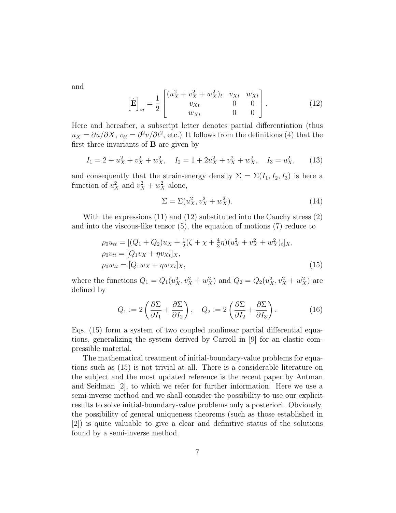and

$$
\[\dot{\mathbf{E}}\]_{ij} = \frac{1}{2} \begin{bmatrix} (u_X^2 + v_X^2 + w_X^2)_t & v_{Xt} & w_{Xt} \\ v_{Xt} & 0 & 0 \\ w_{Xt} & 0 & 0 \end{bmatrix} . \tag{12}
$$

Here and hereafter, a subscript letter denotes partial differentiation (thus  $u_X = \partial u / \partial X$ ,  $v_{tt} = \partial^2 v / \partial t^2$ , etc.) It follows from the definitions (4) that the first three invariants of  $\bf{B}$  are given by

$$
I_1 = 2 + u_X^2 + v_X^2 + w_X^2, \quad I_2 = 1 + 2u_X^2 + v_X^2 + w_X^2, \quad I_3 = u_X^2,
$$
 (13)

and consequently that the strain-energy density  $\Sigma = \Sigma(I_1, I_2, I_3)$  is here a function of  $u_X^2$  and  $v_X^2 + w_X^2$  alone,

$$
\Sigma = \Sigma (u_X^2, v_X^2 + w_X^2). \tag{14}
$$

With the expressions (11) and (12) substituted into the Cauchy stress (2) and into the viscous-like tensor (5), the equation of motions (7) reduce to

$$
\rho_0 u_{tt} = [(Q_1 + Q_2)u_X + \frac{1}{2}(\zeta + \chi + \frac{4}{3}\eta)(u_X^2 + v_X^2 + w_X^2)_t]_X, \n\rho_0 v_{tt} = [Q_1 v_X + \eta v_{Xt}]_X, \n\rho_0 w_{tt} = [Q_1 w_X + \eta w_{Xt}]_X,
$$
\n(15)

where the functions  $Q_1 = Q_1(u_X^2, v_X^2 + w_X^2)$  and  $Q_2 = Q_2(u_X^2, v_X^2 + w_X^2)$  are defined by

$$
Q_1 := 2\left(\frac{\partial \Sigma}{\partial I_1} + \frac{\partial \Sigma}{\partial I_2}\right), \quad Q_2 := 2\left(\frac{\partial \Sigma}{\partial I_2} + \frac{\partial \Sigma}{\partial I_3}\right). \tag{16}
$$

Eqs. (15) form a system of two coupled nonlinear partial differential equations, generalizing the system derived by Carroll in [9] for an elastic compressible material.

The mathematical treatment of initial-boundary-value problems for equations such as (15) is not trivial at all. There is a considerable literature on the subject and the most updated reference is the recent paper by Antman and Seidman [2], to which we refer for further information. Here we use a semi-inverse method and we shall consider the possibility to use our explicit results to solve initial-boundary-value problems only a posteriori. Obviously, the possibility of general uniqueness theorems (such as those established in [2]) is quite valuable to give a clear and definitive status of the solutions found by a semi-inverse method.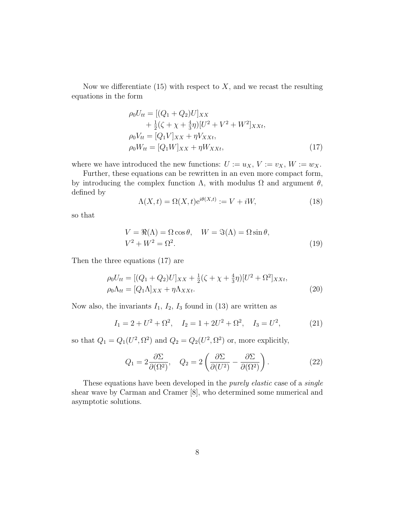Now we differentiate  $(15)$  with respect to X, and we recast the resulting equations in the form

$$
\rho_0 U_{tt} = [(Q_1 + Q_2)U]_{XX} \n+ \frac{1}{2}(\zeta + \chi + \frac{4}{3}\eta)[U^2 + V^2 + W^2]_{XXt}, \n\rho_0 V_{tt} = [Q_1 V]_{XX} + \eta V_{XXt}, \n\rho_0 W_{tt} = [Q_1 W]_{XX} + \eta W_{XXt},
$$
\n(17)

where we have introduced the new functions:  $U := u_X, V := v_X, W := w_X$ .

Further, these equations can be rewritten in an even more compact form, by introducing the complex function  $\Lambda$ , with modulus  $\Omega$  and argument  $\theta$ , defined by

$$
\Lambda(X,t) = \Omega(X,t)e^{i\theta(X,t)} := V + iW,\tag{18}
$$

so that

$$
V = \Re(\Lambda) = \Omega \cos \theta, \quad W = \Im(\Lambda) = \Omega \sin \theta,
$$
  

$$
V^2 + W^2 = \Omega^2.
$$
 (19)

Then the three equations (17) are

$$
\rho_0 U_{tt} = [(Q_1 + Q_2)U]_{XX} + \frac{1}{2}(\zeta + \chi + \frac{4}{3}\eta)[U^2 + \Omega^2]_{XXt},
$$
  
\n
$$
\rho_0 \Lambda_{tt} = [Q_1 \Lambda]_{XX} + \eta \Lambda_{XXt}.
$$
\n(20)

Now also, the invariants  $I_1$ ,  $I_2$ ,  $I_3$  found in (13) are written as

$$
I_1 = 2 + U^2 + \Omega^2
$$
,  $I_2 = 1 + 2U^2 + \Omega^2$ ,  $I_3 = U^2$ , (21)

so that  $Q_1 = Q_1(U^2, \Omega^2)$  and  $Q_2 = Q_2(U^2, \Omega^2)$  or, more explicitly,

$$
Q_1 = 2\frac{\partial \Sigma}{\partial(\Omega^2)}, \quad Q_2 = 2\left(\frac{\partial \Sigma}{\partial(U^2)} - \frac{\partial \Sigma}{\partial(\Omega^2)}\right). \tag{22}
$$

These equations have been developed in the *purely elastic* case of a *single* shear wave by Carman and Cramer [8], who determined some numerical and asymptotic solutions.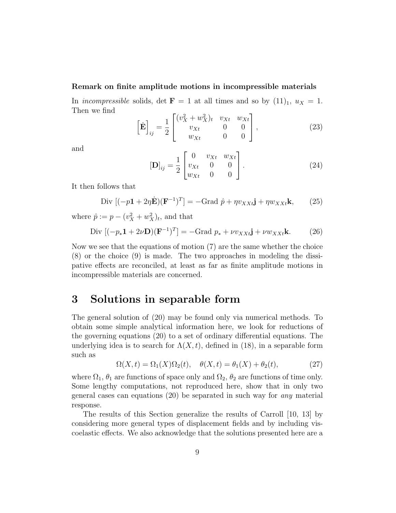#### Remark on finite amplitude motions in incompressible materials

In incompressible solids, det  $\mathbf{F} = 1$  at all times and so by  $(11)_1$ ,  $u_X = 1$ . Then we find

$$
\[\dot{\mathbf{E}}\]_{ij} = \frac{1}{2} \begin{bmatrix} (v_X^2 + w_X^2)_t & v_{Xt} & w_{Xt} \\ v_{Xt} & 0 & 0 \\ w_{Xt} & 0 & 0 \end{bmatrix},\tag{23}
$$

and

$$
[\mathbf{D}]_{ij} = \frac{1}{2} \begin{bmatrix} 0 & v_{Xt} & w_{Xt} \\ v_{Xt} & 0 & 0 \\ w_{Xt} & 0 & 0 \end{bmatrix} . \tag{24}
$$

It then follows that

Div 
$$
[(-p\mathbf{1} + 2\eta \dot{\mathbf{E}})(\mathbf{F}^{-1})^T] = -\text{Grad } \hat{p} + \eta v_{XXt}\mathbf{j} + \eta w_{XXt}\mathbf{k},
$$
 (25)

where  $\hat{p} := p - (v_X^2 + w_X^2)_t$ , and that

$$
\text{Div}\left[(-p_*\mathbf{1}+2\nu\mathbf{D})(\mathbf{F}^{-1})^T\right] = -\text{Grad}\ p_* + \nu v_{XXt}\mathbf{j} + \nu w_{XXt}\mathbf{k}.\tag{26}
$$

Now we see that the equations of motion (7) are the same whether the choice (8) or the choice (9) is made. The two approaches in modeling the dissipative effects are reconciled, at least as far as finite amplitude motions in incompressible materials are concerned.

### 3 Solutions in separable form

The general solution of (20) may be found only via numerical methods. To obtain some simple analytical information here, we look for reductions of the governing equations (20) to a set of ordinary differential equations. The underlying idea is to search for  $\Lambda(X, t)$ , defined in (18), in a separable form such as

$$
\Omega(X,t) = \Omega_1(X)\Omega_2(t), \quad \theta(X,t) = \theta_1(X) + \theta_2(t), \tag{27}
$$

where  $\Omega_1$ ,  $\theta_1$  are functions of space only and  $\Omega_2$ ,  $\theta_2$  are functions of time only. Some lengthy computations, not reproduced here, show that in only two general cases can equations  $(20)$  be separated in such way for any material response.

The results of this Section generalize the results of Carroll [10, 13] by considering more general types of displacement fields and by including viscoelastic effects. We also acknowledge that the solutions presented here are a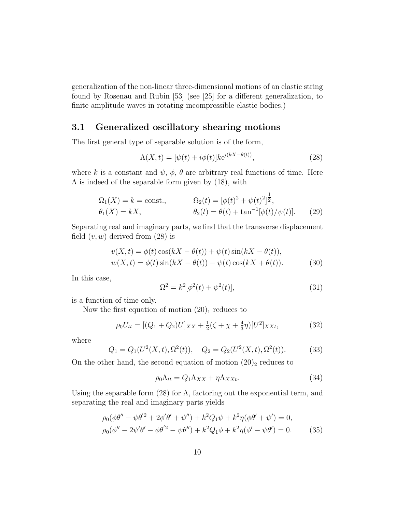generalization of the non-linear three-dimensional motions of an elastic string found by Rosenau and Rubin [53] (see [25] for a different generalization, to finite amplitude waves in rotating incompressible elastic bodies.)

### 3.1 Generalized oscillatory shearing motions

The first general type of separable solution is of the form,

$$
\Lambda(X,t) = [\psi(t) + i\phi(t)]ke^{i(kX - \theta(t))},\tag{28}
$$

where k is a constant and  $\psi$ ,  $\phi$ ,  $\theta$  are arbitrary real functions of time. Here  $\Lambda$  is indeed of the separable form given by (18), with

$$
\Omega_1(X) = k = \text{const.}, \qquad \Omega_2(t) = [\phi(t)^2 + \psi(t)^2]^{\frac{1}{2}}, \n\theta_1(X) = kX, \qquad \theta_2(t) = \theta(t) + \tan^{-1}[\phi(t)/\psi(t)]. \qquad (29)
$$

Separating real and imaginary parts, we find that the transverse displacement field  $(v, w)$  derived from  $(28)$  is

$$
v(X,t) = \phi(t)\cos(kX - \theta(t)) + \psi(t)\sin(kX - \theta(t)),
$$
  
 
$$
w(X,t) = \phi(t)\sin(kX - \theta(t)) - \psi(t)\cos(kX + \theta(t)).
$$
 (30)

In this case,

$$
\Omega^2 = k^2[\phi^2(t) + \psi^2(t)],\tag{31}
$$

is a function of time only.

Now the first equation of motion  $(20)_1$  reduces to

$$
\rho_0 U_{tt} = [(Q_1 + Q_2)U]_{XX} + \frac{1}{2}(\zeta + \chi + \frac{4}{3}\eta)[U^2]_{XXt},
$$
\n(32)

where

$$
Q_1 = Q_1(U^2(X, t), \Omega^2(t)), \quad Q_2 = Q_2(U^2(X, t), \Omega^2(t)).
$$
 (33)

On the other hand, the second equation of motion  $(20)_2$  reduces to

$$
\rho_0 \Lambda_{tt} = Q_1 \Lambda_{XX} + \eta \Lambda_{XXt}.\tag{34}
$$

Using the separable form  $(28)$  for  $\Lambda$ , factoring out the exponential term, and separating the real and imaginary parts yields

$$
\rho_0(\phi\theta'' - \psi\theta'^2 + 2\phi'\theta' + \psi'') + k^2Q_1\psi + k^2\eta(\phi\theta' + \psi') = 0,\n\rho_0(\phi'' - 2\psi'\theta' - \phi\theta'^2 - \psi\theta'') + k^2Q_1\phi + k^2\eta(\phi' - \psi\theta') = 0.
$$
\n(35)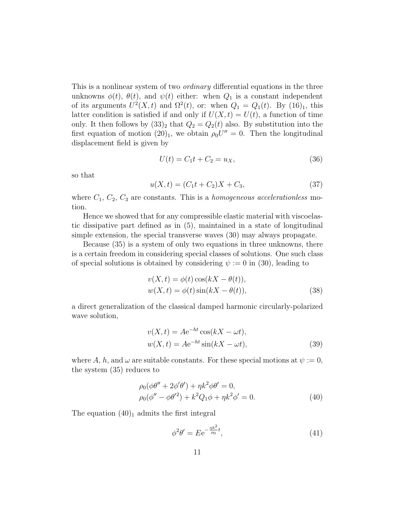This is a nonlinear system of two *ordinary* differential equations in the three unknowns  $\phi(t)$ ,  $\theta(t)$ , and  $\psi(t)$  either: when  $Q_1$  is a constant independent of its arguments  $U^2(X,t)$  and  $\Omega^2(t)$ , or: when  $Q_1 = Q_1(t)$ . By  $(16)_1$ , this latter condition is satisfied if and only if  $U(X, t) = U(t)$ , a function of time only. It then follows by  $(33)_2$  that  $Q_2 = Q_2(t)$  also. By substitution into the first equation of motion  $(20)_1$ , we obtain  $\rho_0 U'' = 0$ . Then the longitudinal displacement field is given by

$$
U(t) = C_1 t + C_2 = u_X,
$$
\n(36)

so that

$$
u(X,t) = (C_1t + C_2)X + C_3,
$$
\n(37)

where  $C_1$ ,  $C_2$ ,  $C_3$  are constants. This is a *homogeneous accelerationless* motion.

Hence we showed that for any compressible elastic material with viscoelastic dissipative part defined as in (5), maintained in a state of longitudinal simple extension, the special transverse waves (30) may always propagate.

Because (35) is a system of only two equations in three unknowns, there is a certain freedom in considering special classes of solutions. One such class of special solutions is obtained by considering  $\psi := 0$  in (30), leading to

$$
v(X,t) = \phi(t)\cos(kX - \theta(t)),
$$
  
\n
$$
w(X,t) = \phi(t)\sin(kX - \theta(t)),
$$
\n(38)

a direct generalization of the classical damped harmonic circularly-polarized wave solution,

$$
v(X,t) = Ae^{-ht}\cos(kX - \omega t),
$$
  

$$
w(X,t) = Ae^{-ht}\sin(kX - \omega t),
$$
 (39)

where A, h, and  $\omega$  are suitable constants. For these special motions at  $\psi := 0$ , the system (35) reduces to

$$
\rho_0(\phi\theta'' + 2\phi'\theta') + \eta k^2 \phi\theta' = 0,\n\rho_0(\phi'' - \phi\theta'^2) + k^2 Q_1 \phi + \eta k^2 \phi' = 0.
$$
\n(40)

The equation  $(40)_1$  admits the first integral

$$
\phi^2 \theta' = E e^{-\frac{\eta k^2}{\rho_0}t},\tag{41}
$$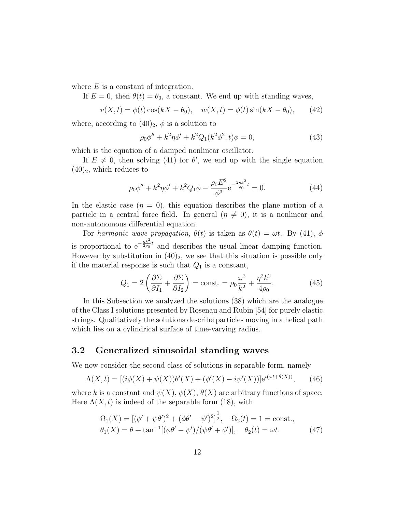where  $E$  is a constant of integration.

If  $E = 0$ , then  $\theta(t) = \theta_0$ , a constant. We end up with standing waves,

$$
v(X,t) = \phi(t) \cos(kX - \theta_0), \quad w(X,t) = \phi(t) \sin(kX - \theta_0),
$$
 (42)

where, according to  $(40)_2$ ,  $\phi$  is a solution to

$$
\rho_0 \phi'' + k^2 \eta \phi' + k^2 Q_1 (k^2 \phi^2, t) \phi = 0,
$$
\n(43)

which is the equation of a damped nonlinear oscillator.

If  $E \neq 0$ , then solving (41) for  $\theta'$ , we end up with the single equation  $(40)_2$ , which reduces to

$$
\rho_0 \phi'' + k^2 \eta \phi' + k^2 Q_1 \phi - \frac{\rho_0 E^2}{\phi^3} e^{-\frac{2\eta k^2}{\rho_0}t} = 0.
$$
 (44)

In the elastic case  $(\eta = 0)$ , this equation describes the plane motion of a particle in a central force field. In general  $(\eta \neq 0)$ , it is a nonlinear and non-autonomous differential equation.

For harmonic wave propagation,  $\theta(t)$  is taken as  $\theta(t) = \omega t$ . By (41),  $\phi$ is proportional to  $e^{-\frac{\eta k^2}{2\rho_0}}$  $\frac{\eta \kappa^2}{2\rho_0} t$  and describes the usual linear damping function. However by substitution in  $(40)_2$ , we see that this situation is possible only if the material response is such that  $Q_1$  is a constant,

$$
Q_1 = 2\left(\frac{\partial \Sigma}{\partial I_1} + \frac{\partial \Sigma}{\partial I_2}\right) = \text{const.} = \rho_0 \frac{\omega^2}{k^2} + \frac{\eta^2 k^2}{4\rho_0}.\tag{45}
$$

In this Subsection we analyzed the solutions (38) which are the analogue of the Class I solutions presented by Rosenau and Rubin [54] for purely elastic strings. Qualitatively the solutions describe particles moving in a helical path which lies on a cylindrical surface of time-varying radius.

### 3.2 Generalized sinusoidal standing waves

We now consider the second class of solutions in separable form, namely

$$
\Lambda(X,t) = [(i\phi(X) + \psi(X))\theta'(X) + (\phi'(X) - i\psi'(X))]e^{i(\omega t + \theta(X))},
$$
(46)

where k is a constant and  $\psi(X), \phi(X), \theta(X)$  are arbitrary functions of space. Here  $\Lambda(X, t)$  is indeed of the separable form (18), with

$$
\Omega_1(X) = [(\phi' + \psi \theta')^2 + (\phi \theta' - \psi')^2]^{\frac{1}{2}}, \quad \Omega_2(t) = 1 = \text{const.},
$$
  

$$
\theta_1(X) = \theta + \tan^{-1}[(\phi \theta' - \psi')/(\psi \theta' + \phi')], \quad \theta_2(t) = \omega t.
$$
 (47)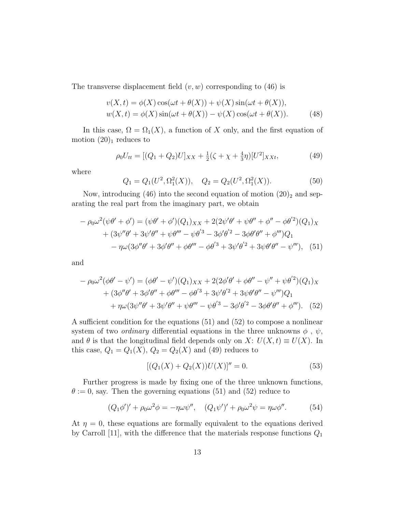The transverse displacement field  $(v, w)$  corresponding to  $(46)$  is

$$
v(X,t) = \phi(X)\cos(\omega t + \theta(X)) + \psi(X)\sin(\omega t + \theta(X)),
$$
  
 
$$
w(X,t) = \phi(X)\sin(\omega t + \theta(X)) - \psi(X)\cos(\omega t + \theta(X)).
$$
 (48)

In this case,  $\Omega = \Omega_1(X)$ , a function of X only, and the first equation of motion  $(20)_1$  reduces to

$$
\rho_0 U_{tt} = [(Q_1 + Q_2)U]_{XX} + \frac{1}{2}(\zeta + \chi + \frac{4}{3}\eta)[U^2]_{XXt},\tag{49}
$$

where

$$
Q_1 = Q_1(U^2, \Omega_1^2(X)), \quad Q_2 = Q_2(U^2, \Omega_1^2(X)).
$$
\n(50)

Now, introducing (46) into the second equation of motion  $(20)_2$  and separating the real part from the imaginary part, we obtain

$$
- \rho_0 \omega^2 (\psi \theta' + \phi') = (\psi \theta' + \phi')(Q_1)_{XX} + 2(2\psi' \theta' + \psi \theta'' + \phi'' - \phi \theta'^2)(Q_1)_X + (3\psi'' \theta' + 3\psi' \theta'' + \psi \theta''' - \psi \theta'^3 - 3\phi' \theta'^2 - 3\phi \theta' \theta'' + \phi''')Q_1 - \eta \omega (3\phi'' \theta' + 3\phi' \theta'' + \phi \theta''' - \phi \theta'^3 + 3\psi' \theta'^2 + 3\psi \theta' \theta'' - \psi'''), (51)
$$

and

$$
- \rho_0 \omega^2 (\phi \theta' - \psi') = (\phi \theta' - \psi')(Q_1)_{XX} + 2(2\phi' \theta' + \phi \theta'' - \psi'' + \psi \theta'^2)(Q_1)_{X}
$$
  
+  $(3\phi'' \theta' + 3\phi' \theta'' + \phi \theta''' - \phi \theta'^3 + 3\psi' \theta'^2 + 3\psi \theta' \theta'' - \psi''')Q_1$   
+  $\eta \omega (3\psi'' \theta' + 3\psi' \theta'' + \psi \theta''' - \psi \theta'^3 - 3\phi' \theta'^2 - 3\phi \theta' \theta'' + \phi''').$  (52)

A sufficient condition for the equations (51) and (52) to compose a nonlinear system of two *ordinary* differential equations in the three unknowns  $\phi$ ,  $\psi$ , and  $\theta$  is that the longitudinal field depends only on X:  $U(X, t) \equiv U(X)$ . In this case,  $Q_1 = Q_1(X)$ ,  $Q_2 = Q_2(X)$  and (49) reduces to

$$
[(Q_1(X) + Q_2(X))U(X)]'' = 0.
$$
\n(53)

Further progress is made by fixing one of the three unknown functions,  $\theta := 0$ , say. Then the governing equations (51) and (52) reduce to

$$
(Q_1 \phi')' + \rho_0 \omega^2 \phi = -\eta \omega \psi'', \quad (Q_1 \psi')' + \rho_0 \omega^2 \psi = \eta \omega \phi''. \tag{54}
$$

At  $\eta = 0$ , these equations are formally equivalent to the equations derived by Carroll [11], with the difference that the materials response functions  $Q_1$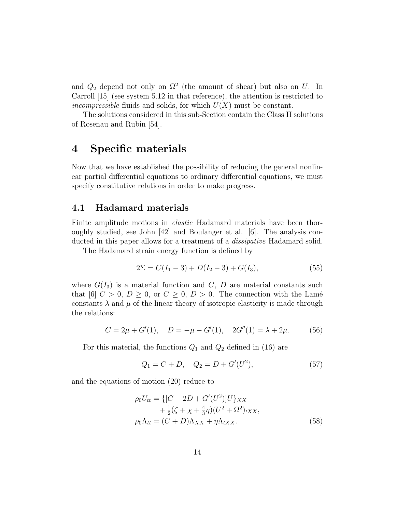and  $Q_2$  depend not only on  $\Omega^2$  (the amount of shear) but also on U. In Carroll [15] (see system 5.12 in that reference), the attention is restricted to *incompressible* fluids and solids, for which  $U(X)$  must be constant.

The solutions considered in this sub-Section contain the Class II solutions of Rosenau and Rubin [54].

## 4 Specific materials

Now that we have established the possibility of reducing the general nonlinear partial differential equations to ordinary differential equations, we must specify constitutive relations in order to make progress.

### 4.1 Hadamard materials

Finite amplitude motions in elastic Hadamard materials have been thoroughly studied, see John [42] and Boulanger et al. [6]. The analysis conducted in this paper allows for a treatment of a *dissipative* Hadamard solid.

The Hadamard strain energy function is defined by

$$
2\Sigma = C(I_1 - 3) + D(I_2 - 3) + G(I_3),
$$
\n(55)

where  $G(I_3)$  is a material function and C, D are material constants such that [6]  $C > 0$ ,  $D \ge 0$ , or  $C \ge 0$ ,  $D > 0$ . The connection with the Lamé constants  $\lambda$  and  $\mu$  of the linear theory of isotropic elasticity is made through the relations:

$$
C = 2\mu + G'(1), \quad D = -\mu - G'(1), \quad 2G''(1) = \lambda + 2\mu. \tag{56}
$$

For this material, the functions  $Q_1$  and  $Q_2$  defined in (16) are

$$
Q_1 = C + D, \quad Q_2 = D + G'(U^2), \tag{57}
$$

and the equations of motion (20) reduce to

$$
\rho_0 U_{tt} = \{ [C + 2D + G'(U^2)]U \}_{XX}
$$
  
 
$$
+ \frac{1}{2} (\zeta + \chi + \frac{4}{3} \eta) (U^2 + \Omega^2)_{tXX},
$$
  
\n
$$
\rho_0 \Lambda_{tt} = (C + D) \Lambda_{XX} + \eta \Lambda_{tXX}.
$$
\n(58)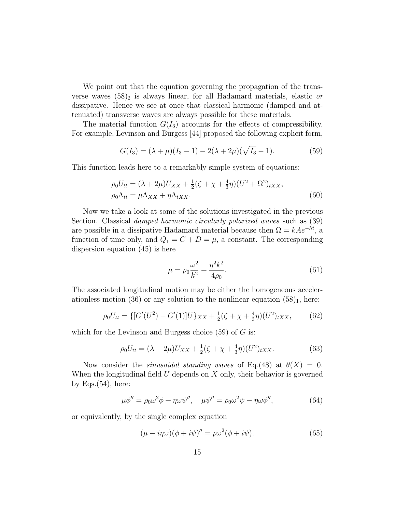We point out that the equation governing the propagation of the transverse waves  $(58)_2$  is always linear, for all Hadamard materials, elastic or dissipative. Hence we see at once that classical harmonic (damped and attenuated) transverse waves are always possible for these materials.

The material function  $G(I_3)$  accounts for the effects of compressibility. For example, Levinson and Burgess [44] proposed the following explicit form,

$$
G(I_3) = (\lambda + \mu)(I_3 - 1) - 2(\lambda + 2\mu)(\sqrt{I_3} - 1).
$$
 (59)

This function leads here to a remarkably simple system of equations:

$$
\rho_0 U_{tt} = (\lambda + 2\mu) U_{XX} + \frac{1}{2} (\zeta + \chi + \frac{4}{3} \eta) (U^2 + \Omega^2)_{tXX},
$$
  
\n
$$
\rho_0 \Lambda_{tt} = \mu \Lambda_{XX} + \eta \Lambda_{tXX}.
$$
\n(60)

Now we take a look at some of the solutions investigated in the previous Section. Classical *damped harmonic circularly polarized waves* such as  $(39)$ are possible in a dissipative Hadamard material because then  $\Omega = kAe^{-ht}$ , a function of time only, and  $Q_1 = C + D = \mu$ , a constant. The corresponding dispersion equation (45) is here

$$
\mu = \rho_0 \frac{\omega^2}{k^2} + \frac{\eta^2 k^2}{4\rho_0}.
$$
\n(61)

The associated longitudinal motion may be either the homogeneous accelerationless motion (36) or any solution to the nonlinear equation  $(58)_1$ , here:

$$
\rho_0 U_{tt} = \{ [G'(U^2) - G'(1)]U \}_{XX} + \frac{1}{2} (\zeta + \chi + \frac{4}{3} \eta) (U^2)_{tXX}, \tag{62}
$$

which for the Levinson and Burgess choice  $(59)$  of G is:

$$
\rho_0 U_{tt} = (\lambda + 2\mu) U_{XX} + \frac{1}{2} (\zeta + \chi + \frac{4}{3} \eta) (U^2)_{tXX}.
$$
 (63)

Now consider the *sinusoidal standing waves* of Eq.(48) at  $\theta(X) = 0$ . When the longitudinal field  $U$  depends on  $X$  only, their behavior is governed by Eqs. $(54)$ , here:

$$
\mu \phi'' = \rho_0 \omega^2 \phi + \eta \omega \psi'', \quad \mu \psi'' = \rho_0 \omega^2 \psi - \eta \omega \phi'', \tag{64}
$$

or equivalently, by the single complex equation

$$
(\mu - i\eta\omega)(\phi + i\psi)'' = \rho\omega^2(\phi + i\psi). \tag{65}
$$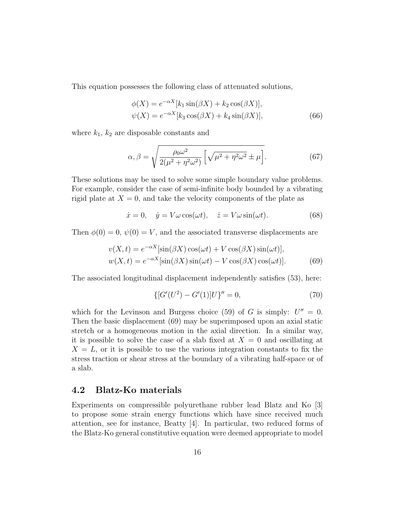This equation possesses the following class of attenuated solutions,

$$
\phi(X) = e^{-\alpha X} [k_1 \sin(\beta X) + k_2 \cos(\beta X)],
$$
  

$$
\psi(X) = e^{-\alpha X} [k_3 \cos(\beta X) + k_4 \sin(\beta X)],
$$
\n(66)

where  $k_1$ ,  $k_2$  are disposable constants and

$$
\alpha, \beta = \sqrt{\frac{\rho_0 \omega^2}{2(\mu^2 + \eta^2 \omega^2)} \left[ \sqrt{\mu^2 + \eta^2 \omega^2} \pm \mu \right]}.
$$
 (67)

These solutions may be used to solve some simple boundary value problems. For example, consider the case of semi-infinite body bounded by a vibrating rigid plate at  $X = 0$ , and take the velocity components of the plate as

$$
\dot{x} = 0, \quad \dot{y} = V\omega\cos(\omega t), \quad \dot{z} = V\omega\sin(\omega t). \tag{68}
$$

Then  $\phi(0) = 0$ ,  $\psi(0) = V$ , and the associated transverse displacements are

$$
v(X,t) = e^{-\alpha X} [\sin(\beta X) \cos(\omega t) + V \cos(\beta X) \sin(\omega t)],
$$
  
\n
$$
w(X,t) = e^{-\alpha X} [\sin(\beta X) \sin(\omega t) - V \cos(\beta X) \cos(\omega t)].
$$
\n(69)

The associated longitudinal displacement independently satisfies (53), here:

$$
\{ [G'(U^2) - G'(1)]U \}'' = 0,\t(70)
$$

which for the Levinson and Burgess choice (59) of G is simply:  $U'' = 0$ . Then the basic displacement (69) may be superimposed upon an axial static stretch or a homogeneous motion in the axial direction. In a similar way, it is possible to solve the case of a slab fixed at  $X = 0$  and oscillating at  $X = L$ , or it is possible to use the various integration constants to fix the stress traction or shear stress at the boundary of a vibrating half-space or of a slab.

#### 4.2 Blatz-Ko materials

Experiments on compressible polyurethane rubber lead Blatz and Ko [3] to propose some strain energy functions which have since received much attention, see for instance, Beatty [4]. In particular, two reduced forms of the Blatz-Ko general constitutive equation were deemed appropriate to model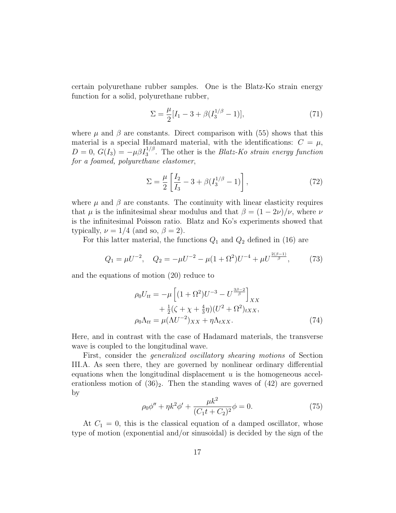certain polyurethane rubber samples. One is the Blatz-Ko strain energy function for a solid, polyurethane rubber,

$$
\Sigma = \frac{\mu}{2} [I_1 - 3 + \beta (I_3^{1/\beta} - 1)], \tag{71}
$$

where  $\mu$  and  $\beta$  are constants. Direct comparison with (55) shows that this material is a special Hadamard material, with the identifications:  $C = \mu$ ,  $D=0, G(I_3)=-\mu\beta I_3^{1/\beta}$ . The other is the *Blatz-Ko strain energy function* for a foamed, polyurethane elastomer,

$$
\Sigma = \frac{\mu}{2} \left[ \frac{I_2}{I_3} - 3 + \beta (I_3^{1/\beta} - 1) \right],\tag{72}
$$

where  $\mu$  and  $\beta$  are constants. The continuity with linear elasticity requires that  $\mu$  is the infinitesimal shear modulus and that  $\beta = (1 - 2\nu)/\nu$ , where  $\nu$ is the infinitesimal Poisson ratio. Blatz and Ko's experiments showed that typically,  $\nu = 1/4$  (and so,  $\beta = 2$ ).

For this latter material, the functions  $Q_1$  and  $Q_2$  defined in (16) are

$$
Q_1 = \mu U^{-2}, \quad Q_2 = -\mu U^{-2} - \mu (1 + \Omega^2) U^{-4} + \mu U^{\frac{2(\beta - 1)}{\beta}}, \tag{73}
$$

and the equations of motion (20) reduce to

$$
\rho_0 U_{tt} = -\mu \left[ (1 + \Omega^2) U^{-3} - U^{\frac{3\beta - 2}{\beta}} \right]_{XX} \n+ \frac{1}{2} (\zeta + \chi + \frac{4}{3} \eta) (U^2 + \Omega^2)_{tXX}, \n\rho_0 \Lambda_{tt} = \mu (\Lambda U^{-2})_{XX} + \eta \Lambda_{tXX}.
$$
\n(74)

Here, and in contrast with the case of Hadamard materials, the transverse wave is coupled to the longitudinal wave.

First, consider the generalized oscillatory shearing motions of Section III.A. As seen there, they are governed by nonlinear ordinary differential equations when the longitudinal displacement  $u$  is the homogeneous accelerationless motion of  $(36)_2$ . Then the standing waves of  $(42)$  are governed by

$$
\rho_0 \phi'' + \eta k^2 \phi' + \frac{\mu k^2}{(C_1 t + C_2)^2} \phi = 0.
$$
 (75)

At  $C_1 = 0$ , this is the classical equation of a damped oscillator, whose type of motion (exponential and/or sinusoidal) is decided by the sign of the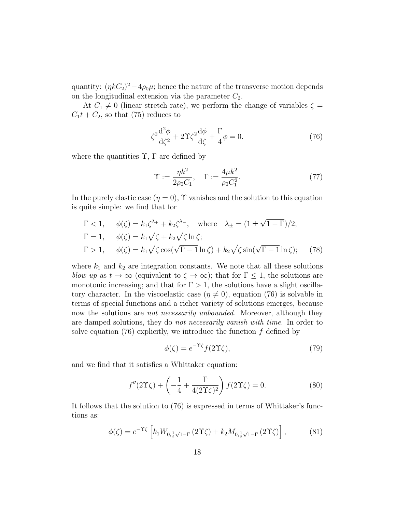quantity:  $(\eta k C_2)^2 - 4\rho_0 \mu$ ; hence the nature of the transverse motion depends on the longitudinal extension via the parameter  $C_2$ .

At  $C_1 \neq 0$  (linear stretch rate), we perform the change of variables  $\zeta =$  $C_1t + C_2$ , so that (75) reduces to

$$
\zeta^2 \frac{\mathrm{d}^2 \phi}{\mathrm{d}\zeta^2} + 2\Upsilon \zeta^2 \frac{\mathrm{d}\phi}{\mathrm{d}\zeta} + \frac{\Gamma}{4} \phi = 0. \tag{76}
$$

where the quantities  $\Upsilon$ ,  $\Gamma$  are defined by

$$
\Upsilon := \frac{\eta k^2}{2\rho_0 C_1}, \quad \Gamma := \frac{4\mu k^2}{\rho_0 C_1^2}.
$$
\n(77)

In the purely elastic case  $(\eta = 0)$ ,  $\Upsilon$  vanishes and the solution to this equation is quite simple: we find that for

$$
\Gamma < 1, \quad \phi(\zeta) = k_1 \zeta^{\lambda_+} + k_2 \zeta^{\lambda_-}, \quad \text{where} \quad \lambda_{\pm} = \left(1 \pm \sqrt{1 - \Gamma}\right)/2; \\
\Gamma = 1, \quad \phi(\zeta) = k_1 \sqrt{\zeta} + k_2 \sqrt{\zeta} \ln \zeta; \\
\Gamma > 1, \quad \phi(\zeta) = k_1 \sqrt{\zeta} \cos(\sqrt{\Gamma - 1} \ln \zeta) + k_2 \sqrt{\zeta} \sin(\sqrt{\Gamma - 1} \ln \zeta); \quad (78)
$$

where  $k_1$  and  $k_2$  are integration constants. We note that all these solutions blow up as  $t \to \infty$  (equivalent to  $\zeta \to \infty$ ); that for  $\Gamma \leq 1$ , the solutions are monotonic increasing; and that for  $\Gamma > 1$ , the solutions have a slight oscillatory character. In the viscoelastic case  $(\eta \neq 0)$ , equation (76) is solvable in terms of special functions and a richer variety of solutions emerges, because now the solutions are *not necessarily unbounded*. Moreover, although they are damped solutions, they do not necessarily vanish with time. In order to solve equation  $(76)$  explicitly, we introduce the function f defined by

$$
\phi(\zeta) = e^{-\Upsilon \zeta} f(2\Upsilon \zeta),\tag{79}
$$

and we find that it satisfies a Whittaker equation:

$$
f''(2\Upsilon\zeta) + \left(-\frac{1}{4} + \frac{\Gamma}{4(2\Upsilon\zeta)^2}\right)f(2\Upsilon\zeta) = 0.
$$
 (80)

It follows that the solution to (76) is expressed in terms of Whittaker's functions as:

$$
\phi(\zeta) = e^{-\Upsilon\zeta} \left[ k_1 W_{0, \frac{1}{2}\sqrt{1-\Gamma}} (2\Upsilon\zeta) + k_2 M_{0, \frac{1}{2}\sqrt{1-\Gamma}} (2\Upsilon\zeta) \right],
$$
 (81)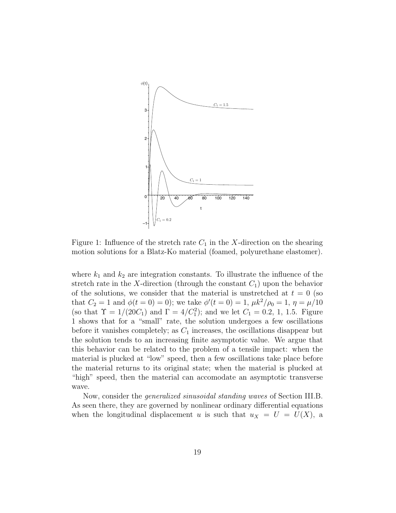

Figure 1: Influence of the stretch rate  $C_1$  in the X-direction on the shearing motion solutions for a Blatz-Ko material (foamed, polyurethane elastomer).

where  $k_1$  and  $k_2$  are integration constants. To illustrate the influence of the stretch rate in the X-direction (through the constant  $C_1$ ) upon the behavior of the solutions, we consider that the material is unstretched at  $t = 0$  (so that  $C_2 = 1$  and  $\phi(t = 0) = 0$ ); we take  $\phi'(t = 0) = 1$ ,  $\mu k^2 / \rho_0 = 1$ ,  $\eta = \mu / 10$ (so that  $\Upsilon = 1/(20C_1)$  and  $\Gamma = 4/C_1^2$ ); and we let  $C_1 = 0.2, 1, 1.5$ . Figure 1 shows that for a "small" rate, the solution undergoes a few oscillations before it vanishes completely; as  $C_1$  increases, the oscillations disappear but the solution tends to an increasing finite asymptotic value. We argue that this behavior can be related to the problem of a tensile impact: when the material is plucked at "low" speed, then a few oscillations take place before the material returns to its original state; when the material is plucked at "high" speed, then the material can accomodate an asymptotic transverse wave.

Now, consider the generalized sinusoidal standing waves of Section III.B. As seen there, they are governed by nonlinear ordinary differential equations when the longitudinal displacement u is such that  $u_X = U = U(X)$ , a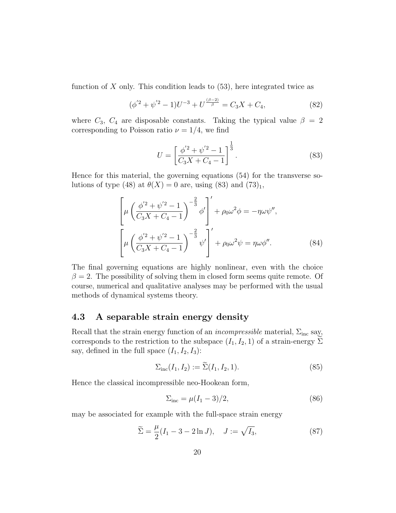function of  $X$  only. This condition leads to  $(53)$ , here integrated twice as

$$
(\phi'^2 + \psi'^2 - 1)U^{-3} + U^{\frac{(\beta - 2)}{\beta}} = C_3 X + C_4,\tag{82}
$$

where  $C_3$ ,  $C_4$  are disposable constants. Taking the typical value  $\beta = 2$ corresponding to Poisson ratio  $\nu = 1/4$ , we find

$$
U = \left[\frac{\phi'^2 + \psi'^2 - 1}{C_3 X + C_4 - 1}\right]^{\frac{1}{3}}.
$$
\n(83)

Hence for this material, the governing equations (54) for the transverse solutions of type (48) at  $\theta(X) = 0$  are, using (83) and (73)<sub>1</sub>,

$$
\left[\mu \left(\frac{\phi'^2 + \psi'^2 - 1}{C_3 X + C_4 - 1}\right)^{-\frac{2}{3}} \phi'\right]' + \rho_0 \omega^2 \phi = -\eta \omega \psi'',
$$
\n
$$
\left[\mu \left(\frac{\phi'^2 + \psi'^2 - 1}{C_3 X + C_4 - 1}\right)^{-\frac{2}{3}} \psi'\right]' + \rho_0 \omega^2 \psi = \eta \omega \phi''.
$$
\n(84)

The final governing equations are highly nonlinear, even with the choice  $\beta = 2$ . The possibility of solving them in closed form seems quite remote. Of course, numerical and qualitative analyses may be performed with the usual methods of dynamical systems theory.

#### 4.3 A separable strain energy density

Recall that the strain energy function of an *incompressible* material,  $\Sigma_{\text{inc}}$  say, corresponds to the restriction to the subspace  $(I_1, I_2, 1)$  of a strain-energy  $\Sigma$ say, defined in the full space  $(I_1, I_2, I_3)$ :

$$
\Sigma_{\rm inc}(I_1, I_2) := \Sigma(I_1, I_2, 1). \tag{85}
$$

Hence the classical incompressible neo-Hookean form,

$$
\Sigma_{\rm inc} = \mu(I_1 - 3)/2, \tag{86}
$$

may be associated for example with the full-space strain energy

$$
\widetilde{\Sigma} = \frac{\mu}{2}(I_1 - 3 - 2\ln J), \quad J := \sqrt{I_3},\tag{87}
$$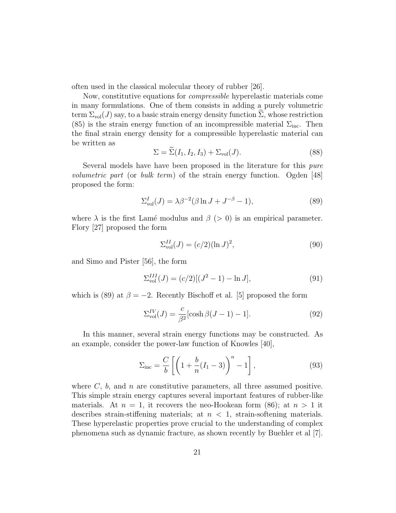often used in the classical molecular theory of rubber [26].

Now, constitutive equations for compressible hyperelastic materials come in many formulations. One of them consists in adding a purely volumetric term  $\Sigma_{\text{vol}}(J)$  say, to a basic strain energy density function  $\Sigma$ , whose restriction (85) is the strain energy function of an incompressible material  $\Sigma_{\text{inc}}$ . Then the final strain energy density for a compressible hyperelastic material can be written as

$$
\Sigma = \widetilde{\Sigma}(I_1, I_2, I_3) + \Sigma_{\text{vol}}(J). \tag{88}
$$

Several models have have been proposed in the literature for this *pure* volumetric part (or bulk term) of the strain energy function. Ogden [48] proposed the form:

$$
\Sigma_{\text{vol}}^{I}(J) = \lambda \beta^{-2} (\beta \ln J + J^{-\beta} - 1),\tag{89}
$$

where  $\lambda$  is the first Lamé modulus and  $\beta$  (> 0) is an empirical parameter. Flory [27] proposed the form

$$
\Sigma_{\text{vol}}^{II}(J) = (c/2)(\ln J)^2,\tag{90}
$$

and Simo and Pister [56], the form

$$
\Sigma_{\text{vol}}^{III}(J) = (c/2)[(J^2 - 1) - \ln J],\tag{91}
$$

which is (89) at  $\beta = -2$ . Recently Bischoff et al. [5] proposed the form

$$
\Sigma_{\text{vol}}^{IV}(J) = \frac{c}{\beta^2} [\cosh \beta (J - 1) - 1]. \tag{92}
$$

In this manner, several strain energy functions may be constructed. As an example, consider the power-law function of Knowles [40],

$$
\Sigma_{\rm inc} = \frac{C}{b} \left[ \left( 1 + \frac{b}{n} (I_1 - 3) \right)^n - 1 \right],\tag{93}
$$

where  $C$ ,  $b$ , and  $n$  are constitutive parameters, all three assumed positive. This simple strain energy captures several important features of rubber-like materials. At  $n = 1$ , it recovers the neo-Hookean form (86); at  $n > 1$  it describes strain-stiffening materials; at  $n < 1$ , strain-softening materials. These hyperelastic properties prove crucial to the understanding of complex phenomena such as dynamic fracture, as shown recently by Buehler et al [7].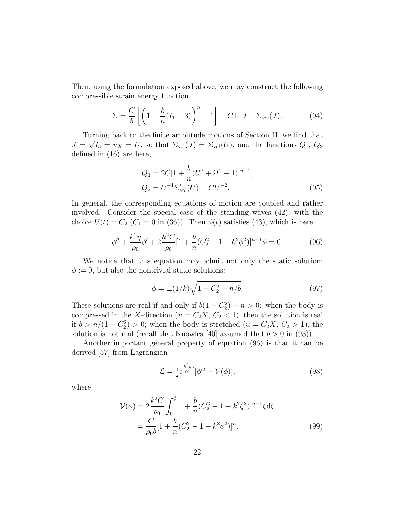Then, using the formulation exposed above, we may construct the following compressible strain energy function

$$
\Sigma = \frac{C}{b} \left[ \left( 1 + \frac{b}{n} (I_1 - 3) \right)^n - 1 \right] - C \ln J + \Sigma_{\text{vol}}(J). \tag{94}
$$

Turning back to the finite amplitude motions of Section II, we find that  $\overline{f}$  $J = \sqrt{I_3} = u_X = U$ , so that  $\Sigma_{\text{vol}}(J) = \Sigma_{\text{vol}}(U)$ , and the functions  $Q_1, Q_2$ defined in (16) are here,

$$
Q_1 = 2C[1 + \frac{b}{n}(U^2 + \Omega^2 - 1)]^{n-1},
$$
  
\n
$$
Q_2 = U^{-1}\Sigma_{\text{vol}}'(U) - CU^{-2}.
$$
\n(95)

In general, the corresponding equations of motion are coupled and rather involved. Consider the special case of the standing waves (42), with the choice  $U(t) = C_2$  ( $C_1 = 0$  in (36)). Then  $\phi(t)$  satisfies (43), which is here

$$
\phi'' + \frac{k^2 \eta}{\rho_0} \phi' + 2 \frac{k^2 C}{\rho_0} [1 + \frac{b}{n} (C_2^2 - 1 + k^2 \phi^2)]^{n-1} \phi = 0.
$$
 (96)

We notice that this equation may admit not only the static solution:  $\phi := 0$ , but also the nontrivial static solutions:

$$
\phi = \pm (1/k)\sqrt{1 - C_2^2 - n/b}.\tag{97}
$$

These solutions are real if and only if  $b(1 - C_2^2) - n > 0$ : when the body is compressed in the X-direction  $(u = C_2X, C_2 < 1)$ , then the solution is real if  $b > n/(1 - C_2^2) > 0$ ; when the body is stretched  $(u = C_2X, C_2 > 1)$ , the solution is not real (recall that Knowles [40] assumed that  $b > 0$  in (93)).

Another important general property of equation (96) is that it can be derived [57] from Lagrangian

$$
\mathcal{L} = \frac{1}{2} e^{\frac{k^2 \eta}{\rho_0} t} [\phi'^2 - \mathcal{V}(\phi)], \tag{98}
$$

where

$$
\mathcal{V}(\phi) = 2\frac{k^2 C}{\rho_0} \int_0^{\phi} [1 + \frac{b}{n}(C_2^2 - 1 + k^2 \zeta^2)]^{n-1} \zeta d\zeta
$$
  
= 
$$
\frac{C}{\rho_0 b} [1 + \frac{b}{n}(C_2^2 - 1 + k^2 \phi^2)]^n.
$$
 (99)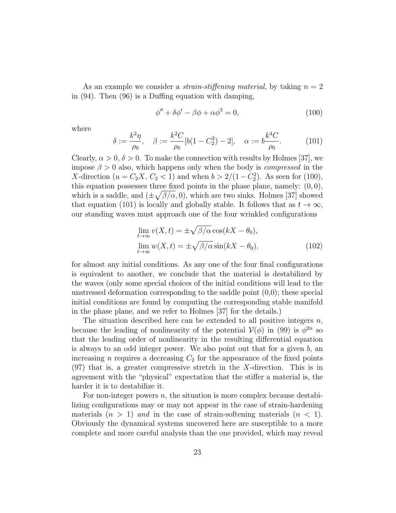As an example we consider a *strain-stiffening material*, by taking  $n = 2$ in (94). Then (96) is a Duffing equation with damping,

$$
\phi'' + \delta\phi' - \beta\phi + \alpha\phi^3 = 0,\tag{100}
$$

where

$$
\delta := \frac{k^2 \eta}{\rho_0}, \quad \beta := \frac{k^2 C}{\rho_0} [b(1 - C_2^2) - 2], \quad \alpha := b \frac{k^4 C}{\rho_0}.
$$
 (101)

Clearly,  $\alpha > 0$ ,  $\delta > 0$ . To make the connection with results by Holmes [37], we impose  $\beta > 0$  also, which happens only when the body is *compressed* in the X-direction ( $u = C_2X, C_2 < 1$ ) and when  $b > 2/(1 - C_2^2)$ . As seen for (100), this equation possesses three fixed points in the phase plane, namely:  $(0, 0)$ , which is a saddle, and  $(\pm \sqrt{\beta/\alpha}, 0)$ , which are two sinks. Holmes [37] showed that equation (101) is locally and globally stable. It follows that as  $t \to \infty$ , our standing waves must approach one of the four wrinkled configurations

$$
\lim_{t \to \infty} v(X, t) = \pm \sqrt{\beta/\alpha} \cos(kX - \theta_0),
$$
  
\n
$$
\lim_{t \to \infty} w(X, t) = \pm \sqrt{\beta/\alpha} \sin(kX - \theta_0),
$$
\n(102)

for almost any initial conditions. As any one of the four final configurations is equivalent to another, we conclude that the material is destabilized by the waves (only some special choices of the initial conditions will lead to the unstressed deformation corresponding to the saddle point  $(0,0)$ ; these special initial conditions are found by computing the corresponding stable manifold in the phase plane, and we refer to Holmes [37] for the details.)

The situation described here can be extended to all positive integers  $n$ , because the leading of nonlinearity of the potential  $\mathcal{V}(\phi)$  in (99) is  $\phi^{2n}$  so that the leading order of nonlinearity in the resulting differential equation is always to an odd integer power. We also point out that for a given b, an increasing  $n$  requires a decreasing  $C_2$  for the appearance of the fixed points (97) that is, a greater compressive stretch in the X-direction. This is in agreement with the "physical" expectation that the stiffer a material is, the harder it is to destabilize it.

For non-integer powers  $n$ , the situation is more complex because destabilizing configurations may or may not appear in the case of strain-hardening materials  $(n > 1)$  and in the case of strain-softening materials  $(n < 1)$ . Obviously the dynamical systems uncovered here are susceptible to a more complete and more careful analysis than the one provided, which may reveal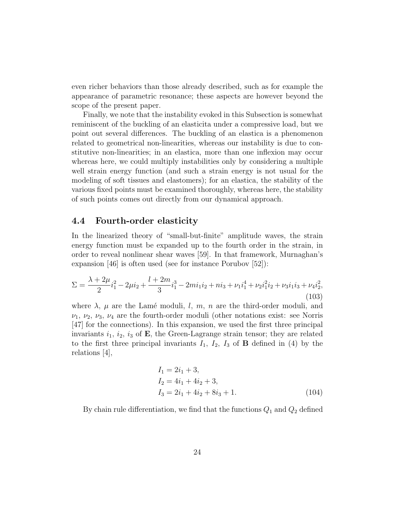even richer behaviors than those already described, such as for example the appearance of parametric resonance; these aspects are however beyond the scope of the present paper.

Finally, we note that the instability evoked in this Subsection is somewhat reminiscent of the buckling of an elasticita under a compressive load, but we point out several differences. The buckling of an elastica is a phenomenon related to geometrical non-linearities, whereas our instability is due to constitutive non-linearities; in an elastica, more than one inflexion may occur whereas here, we could multiply instabilities only by considering a multiple well strain energy function (and such a strain energy is not usual for the modeling of soft tissues and elastomers); for an elastica, the stability of the various fixed points must be examined thoroughly, whereas here, the stability of such points comes out directly from our dynamical approach.

### 4.4 Fourth-order elasticity

In the linearized theory of "small-but-finite" amplitude waves, the strain energy function must be expanded up to the fourth order in the strain, in order to reveal nonlinear shear waves [59]. In that framework, Murnaghan's expansion [46] is often used (see for instance Porubov [52]):

$$
\Sigma = \frac{\lambda + 2\mu}{2} i_1^2 - 2\mu i_2 + \frac{l + 2m}{3} i_1^3 - 2mi_1 i_2 + ni_3 + \nu_1 i_1^4 + \nu_2 i_1^2 i_2 + \nu_3 i_1 i_3 + \nu_4 i_2^2,
$$
\n(103)

where  $\lambda$ ,  $\mu$  are the Lamé moduli, l, m, n are the third-order moduli, and  $\nu_1, \nu_2, \nu_3, \nu_4$  are the fourth-order moduli (other notations exist: see Norris [47] for the connections). In this expansion, we used the first three principal invariants  $i_1$ ,  $i_2$ ,  $i_3$  of **E**, the Green-Lagrange strain tensor; they are related to the first three principal invariants  $I_1$ ,  $I_2$ ,  $I_3$  of **B** defined in (4) by the relations [4],

$$
I_1 = 2i_1 + 3,
$$
  
\n
$$
I_2 = 4i_1 + 4i_2 + 3,
$$
  
\n
$$
I_3 = 2i_1 + 4i_2 + 8i_3 + 1.
$$
\n(104)

By chain rule differentiation, we find that the functions  $Q_1$  and  $Q_2$  defined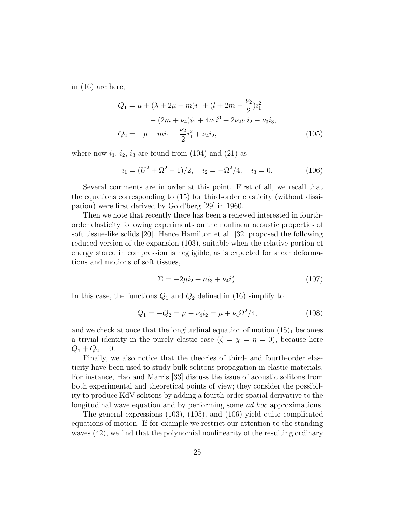in (16) are here,

$$
Q_1 = \mu + (\lambda + 2\mu + m)i_1 + (l + 2m - \frac{\nu_2}{2})i_1^2
$$
  
 
$$
- (2m + \nu_4)i_2 + 4\nu_1i_1^3 + 2\nu_2i_1i_2 + \nu_3i_3,
$$
  
\n
$$
Q_2 = -\mu - mi_1 + \frac{\nu_2}{2}i_1^2 + \nu_4i_2,
$$
\n(105)

where now  $i_1$ ,  $i_2$ ,  $i_3$  are found from (104) and (21) as

$$
i_1 = (U^2 + \Omega^2 - 1)/2, \quad i_2 = -\Omega^2/4, \quad i_3 = 0.
$$
 (106)

Several comments are in order at this point. First of all, we recall that the equations corresponding to (15) for third-order elasticity (without dissipation) were first derived by Gold'berg [29] in 1960.

Then we note that recently there has been a renewed interested in fourthorder elasticity following experiments on the nonlinear acoustic properties of soft tissue-like solids [20]. Hence Hamilton et al. [32] proposed the following reduced version of the expansion (103), suitable when the relative portion of energy stored in compression is negligible, as is expected for shear deformations and motions of soft tissues,

$$
\Sigma = -2\mu i_2 + n i_3 + \nu_4 i_2^2. \tag{107}
$$

In this case, the functions  $Q_1$  and  $Q_2$  defined in (16) simplify to

$$
Q_1 = -Q_2 = \mu - \nu_4 i_2 = \mu + \nu_4 \Omega^2 / 4, \qquad (108)
$$

and we check at once that the longitudinal equation of motion  $(15)<sub>1</sub>$  becomes a trivial identity in the purely elastic case ( $\zeta = \chi = \eta = 0$ ), because here  $Q_1 + Q_2 = 0.$ 

Finally, we also notice that the theories of third- and fourth-order elasticity have been used to study bulk solitons propagation in elastic materials. For instance, Hao and Marris [33] discuss the issue of acoustic solitons from both experimental and theoretical points of view; they consider the possibility to produce KdV solitons by adding a fourth-order spatial derivative to the longitudinal wave equation and by performing some *ad hoc* approximations.

The general expressions (103), (105), and (106) yield quite complicated equations of motion. If for example we restrict our attention to the standing waves (42), we find that the polynomial nonlinearity of the resulting ordinary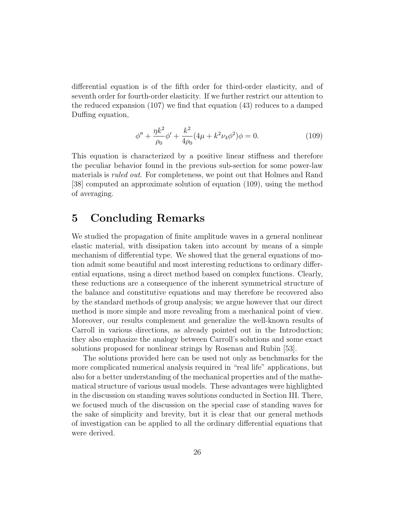differential equation is of the fifth order for third-order elasticity, and of seventh order for fourth-order elasticity. If we further restrict our attention to the reduced expansion (107) we find that equation (43) reduces to a damped Duffing equation,

$$
\phi'' + \frac{\eta k^2}{\rho_0} \phi' + \frac{k^2}{4\rho_0} (4\mu + k^2 \nu_4 \phi^2) \phi = 0.
$$
 (109)

This equation is characterized by a positive linear stiffness and therefore the peculiar behavior found in the previous sub-section for some power-law materials is *ruled out.* For completeness, we point out that Holmes and Rand [38] computed an approximate solution of equation (109), using the method of averaging.

## 5 Concluding Remarks

We studied the propagation of finite amplitude waves in a general nonlinear elastic material, with dissipation taken into account by means of a simple mechanism of differential type. We showed that the general equations of motion admit some beautiful and most interesting reductions to ordinary differential equations, using a direct method based on complex functions. Clearly, these reductions are a consequence of the inherent symmetrical structure of the balance and constitutive equations and may therefore be recovered also by the standard methods of group analysis; we argue however that our direct method is more simple and more revealing from a mechanical point of view. Moreover, our results complement and generalize the well-known results of Carroll in various directions, as already pointed out in the Introduction; they also emphasize the analogy between Carroll's solutions and some exact solutions proposed for nonlinear strings by Rosenau and Rubin [53].

The solutions provided here can be used not only as benchmarks for the more complicated numerical analysis required in "real life" applications, but also for a better understanding of the mechanical properties and of the mathematical structure of various usual models. These advantages were highlighted in the discussion on standing waves solutions conducted in Section III. There, we focused much of the discussion on the special case of standing waves for the sake of simplicity and brevity, but it is clear that our general methods of investigation can be applied to all the ordinary differential equations that were derived.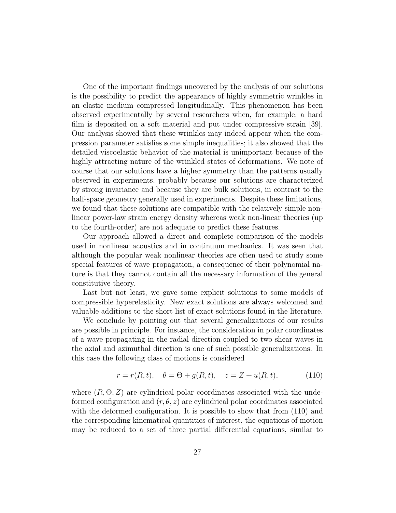One of the important findings uncovered by the analysis of our solutions is the possibility to predict the appearance of highly symmetric wrinkles in an elastic medium compressed longitudinally. This phenomenon has been observed experimentally by several researchers when, for example, a hard film is deposited on a soft material and put under compressive strain [39]. Our analysis showed that these wrinkles may indeed appear when the compression parameter satisfies some simple inequalities; it also showed that the detailed viscoelastic behavior of the material is unimportant because of the highly attracting nature of the wrinkled states of deformations. We note of course that our solutions have a higher symmetry than the patterns usually observed in experiments, probably because our solutions are characterized by strong invariance and because they are bulk solutions, in contrast to the half-space geometry generally used in experiments. Despite these limitations, we found that these solutions are compatible with the relatively simple nonlinear power-law strain energy density whereas weak non-linear theories (up to the fourth-order) are not adequate to predict these features.

Our approach allowed a direct and complete comparison of the models used in nonlinear acoustics and in continuum mechanics. It was seen that although the popular weak nonlinear theories are often used to study some special features of wave propagation, a consequence of their polynomial nature is that they cannot contain all the necessary information of the general constitutive theory.

Last but not least, we gave some explicit solutions to some models of compressible hyperelasticity. New exact solutions are always welcomed and valuable additions to the short list of exact solutions found in the literature.

We conclude by pointing out that several generalizations of our results are possible in principle. For instance, the consideration in polar coordinates of a wave propagating in the radial direction coupled to two shear waves in the axial and azimuthal direction is one of such possible generalizations. In this case the following class of motions is considered

$$
r = r(R, t), \quad \theta = \Theta + g(R, t), \quad z = Z + u(R, t), \tag{110}
$$

where  $(R, \Theta, Z)$  are cylindrical polar coordinates associated with the undeformed configuration and  $(r, \theta, z)$  are cylindrical polar coordinates associated with the deformed configuration. It is possible to show that from  $(110)$  and the corresponding kinematical quantities of interest, the equations of motion may be reduced to a set of three partial differential equations, similar to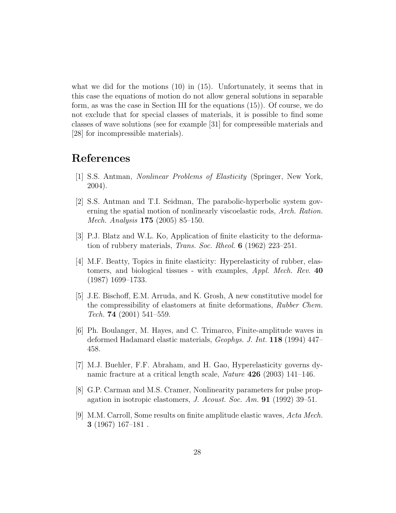what we did for the motions  $(10)$  in  $(15)$ . Unfortunately, it seems that in this case the equations of motion do not allow general solutions in separable form, as was the case in Section III for the equations (15)). Of course, we do not exclude that for special classes of materials, it is possible to find some classes of wave solutions (see for example [31] for compressible materials and [28] for incompressible materials).

# References

- [1] S.S. Antman, Nonlinear Problems of Elasticity (Springer, New York, 2004).
- [2] S.S. Antman and T.I. Seidman, The parabolic-hyperbolic system governing the spatial motion of nonlinearly viscoelastic rods, Arch. Ration. Mech. Analysis 175 (2005) 85–150.
- [3] P.J. Blatz and W.L. Ko, Application of finite elasticity to the deformation of rubbery materials, Trans. Soc. Rheol. 6 (1962) 223–251.
- [4] M.F. Beatty, Topics in finite elasticity: Hyperelasticity of rubber, elastomers, and biological tissues - with examples, Appl. Mech. Rev. 40 (1987) 1699–1733.
- [5] J.E. Bischoff, E.M. Arruda, and K. Grosh, A new constitutive model for the compressibility of elastomers at finite deformations, Rubber Chem. Tech. 74  $(2001)$  541–559.
- [6] Ph. Boulanger, M. Hayes, and C. Trimarco, Finite-amplitude waves in deformed Hadamard elastic materials, Geophys. J. Int. 118 (1994) 447– 458.
- [7] M.J. Buehler, F.F. Abraham, and H. Gao, Hyperelasticity governs dynamic fracture at a critical length scale, Nature 426 (2003) 141–146.
- [8] G.P. Carman and M.S. Cramer, Nonlinearity parameters for pulse propagation in isotropic elastomers, J. Acoust. Soc. Am. **91** (1992) 39–51.
- [9] M.M. Carroll, Some results on finite amplitude elastic waves, Acta Mech. 3 (1967) 167–181 .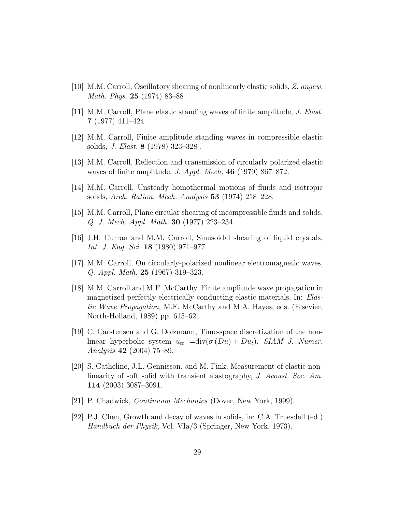- [10] M.M. Carroll, Oscillatory shearing of nonlinearly elastic solids, Z. angew. Math. Phys. 25 (1974) 83–88 .
- [11] M.M. Carroll, Plane elastic standing waves of finite amplitude, J. Elast. 7 (1977) 411–424.
- [12] M.M. Carroll, Finite amplitude standing waves in compressible elastic solids, J. Elast. 8 (1978) 323–328 .
- [13] M.M. Carroll, Reflection and transmission of circularly polarized elastic waves of finite amplitude, J. Appl. Mech. 46 (1979) 867–872.
- [14] M.M. Carroll, Unsteady homothermal motions of fluids and isotropic solids, Arch. Ration. Mech. Analysis 53 (1974) 218–228.
- [15] M.M. Carroll, Plane circular shearing of incompressible fluids and solids, Q. J. Mech. Appl. Math. 30 (1977) 223–234.
- [16] J.H. Curran and M.M. Carroll, Sinusoidal shearing of liquid crystals, Int. J. Eng. Sci. 18 (1980) 971–977.
- [17] M.M. Carroll, On circularly-polarized nonlinear electromagnetic waves, Q. Appl. Math. 25 (1967) 319–323.
- [18] M.M. Carroll and M.F. McCarthy, Finite amplitude wave propagation in magnetized perfectly electrically conducting elastic materials, In: Elastic Wave Propagation, M.F. McCarthy and M.A. Hayes, eds. (Elsevier, North-Holland, 1989) pp. 615–621.
- [19] C. Carstensen and G. Dolzmann, Time-space discretization of the nonlinear hyperbolic system  $u_{tt} = \text{div}(\sigma(Du) + Du_t)$ , SIAM J. Numer. Analysis 42 (2004) 75–89.
- [20] S. Catheline, J.L. Gennisson, and M. Fink, Measurement of elastic nonlinearity of soft solid with transient elastography, J. Acoust. Soc. Am. 114 (2003) 3087–3091.
- [21] P. Chadwick, Continuum Mechanics (Dover, New York, 1999).
- [22] P.J. Chen, Growth and decay of waves in solids, in: C.A. Truesdell (ed.) Handbuch der Physik, Vol. VIa/3 (Springer, New York, 1973).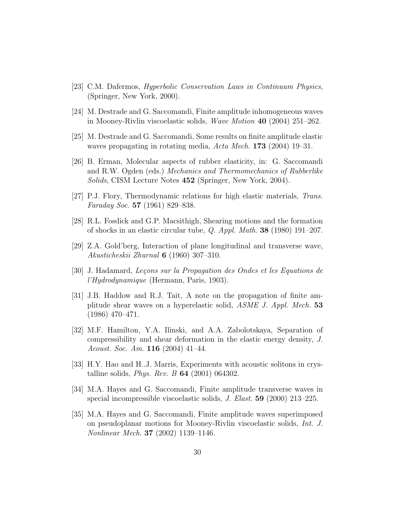- [23] C.M. Dafermos, Hyperbolic Conservation Laws in Continuum Physics, (Springer, New York, 2000).
- [24] M. Destrade and G. Saccomandi, Finite amplitude inhomogeneous waves in Mooney-Rivlin viscoelastic solids, Wave Motion 40 (2004) 251–262.
- [25] M. Destrade and G. Saccomandi, Some results on finite amplitude elastic waves propagating in rotating media, Acta Mech. 173 (2004) 19–31.
- [26] B. Erman, Molecular aspects of rubber elasticity, in: G. Saccomandi and R.W. Ogden (eds.) Mechanics and Thermomechanics of Rubberlike Solids, CISM Lecture Notes 452 (Springer, New York, 2004).
- [27] P.J. Flory, Thermodynamic relations for high elastic materials, Trans. Faraday Soc. 57 (1961) 829–838.
- [28] R.L. Fosdick and G.P. Macsithigh, Shearing motions and the formation of shocks in an elastic circular tube, Q. Appl. Math. 38 (1980) 191–207.
- [29] Z.A. Gold'berg, Interaction of plane longitudinal and transverse wave, Akusticheskii Zhurnal 6 (1960) 307–310.
- [30] J. Hadamard, Leçons sur la Propagation des Ondes et les Equations de l'Hydrodynamique (Hermann, Paris, 1903).
- [31] J.B. Haddow and R.J. Tait, A note on the propagation of finite amplitude shear waves on a hyperelastic solid, ASME J. Appl. Mech. 53 (1986) 470–471.
- [32] M.F. Hamilton, Y.A. Ilinski, and A.A. Zabolotskaya, Separation of compressibility and shear deformation in the elastic energy density, J. Acoust. Soc. Am. 116 (2004) 41–44.
- [33] H.Y. Hao and H..J. Marris, Experiments with acoustic solitons in crystalline solids, *Phys. Rev. B* **64** (2001) 064302.
- [34] M.A. Hayes and G. Saccomandi, Finite amplitude transverse waves in special incompressible viscoelastic solids, J. Elast. 59 (2000) 213–225.
- [35] M.A. Hayes and G. Saccomandi, Finite amplitude waves superimposed on pseudoplanar motions for Mooney-Rivlin viscoelastic solids, Int. J. Nonlinear Mech. 37 (2002) 1139–1146.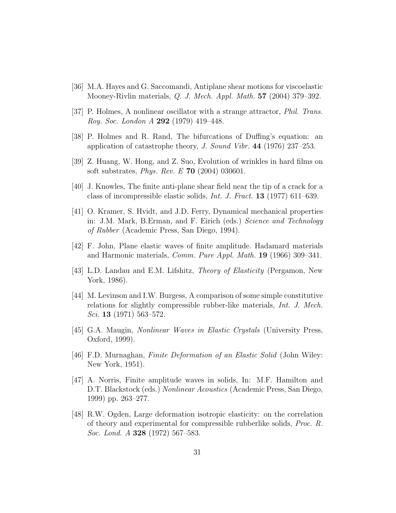- [36] M.A. Hayes and G. Saccomandi, Antiplane shear motions for viscoelastic Mooney-Rivlin materials, Q. J. Mech. Appl. Math. 57 (2004) 379–392.
- [37] P. Holmes, A nonlinear oscillator with a strange attractor, Phil. Trans. Roy. Soc. London A 292 (1979) 419–448.
- [38] P. Holmes and R. Rand, The bifurcations of Duffing's equation: an application of catastrophe theory, J. Sound Vibr. 44 (1976) 237–253.
- [39] Z. Huang, W. Hong, and Z. Suo, Evolution of wrinkles in hard films on soft substrates, Phys. Rev. E 70 (2004) 030601.
- [40] J. Knowles, The finite anti-plane shear field near the tip of a crack for a class of incompressible elastic solids, Int. J. Fract. 13 (1977) 611–639.
- [41] O. Kramer, S. Hvidt, and J.D. Ferry, Dynamical mechanical properties in: J.M. Mark, B.Erman, and F. Eirich (eds.) Science and Technology of Rubber (Academic Press, San Diego, 1994).
- [42] F. John, Plane elastic waves of finite amplitude. Hadamard materials and Harmonic materials, Comm. Pure Appl. Math. 19 (1966) 309–341.
- [43] L.D. Landau and E.M. Lifshitz, Theory of Elasticity (Pergamon, New York, 1986).
- [44] M. Levinson and I.W. Burgess, A comparison of some simple constitutive relations for slightly compressible rubber-like materials, Int. J. Mech. Sci. 13 (1971) 563–572.
- [45] G.A. Maugin, Nonlinear Waves in Elastic Crystals (University Press, Oxford, 1999).
- [46] F.D. Murnaghan, Finite Deformation of an Elastic Solid (John Wiley: New York, 1951).
- [47] A. Norris, Finite amplitude waves in solids, In: M.F. Hamilton and D.T. Blackstock (eds.) Nonlinear Acoustics (Academic Press, San Diego, 1999) pp. 263–277.
- [48] R.W. Ogden, Large deformation isotropic elasticity: on the correlation of theory and experimental for compressible rubberlike solids, Proc. R. Soc. Lond. A **328** (1972) 567–583.